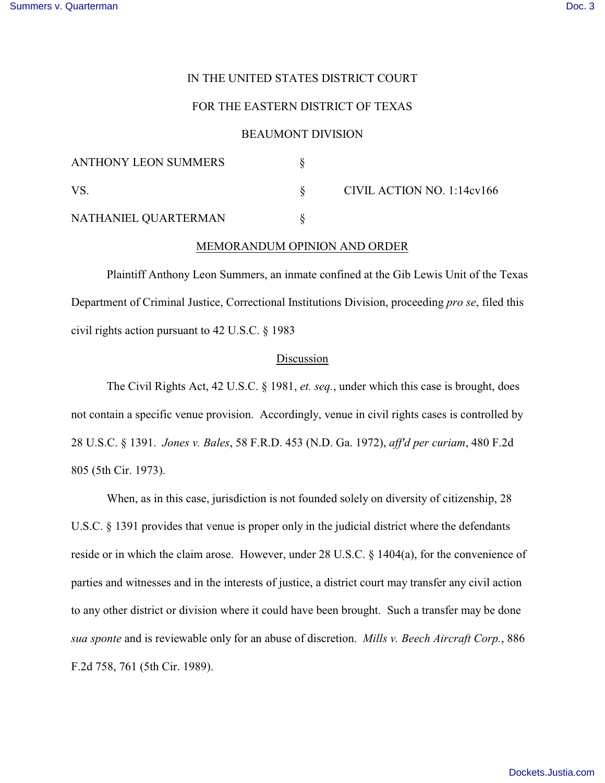# IN THE UNITED STATES DISTRICT COURT

## FOR THE EASTERN DISTRICT OF TEXAS

## BEAUMONT DIVISION

| <b>ANTHONY LEON SUMMERS</b> |                            |
|-----------------------------|----------------------------|
| VS                          | CIVIL ACTION NO. 1:14cv166 |
| NATHANIEL QUARTERMAN        |                            |

#### MEMORANDUM OPINION AND ORDER

Plaintiff Anthony Leon Summers, an inmate confined at the Gib Lewis Unit of the Texas Department of Criminal Justice, Correctional Institutions Division, proceeding *pro se*, filed this civil rights action pursuant to 42 U.S.C. § 1983

### Discussion

The Civil Rights Act, 42 U.S.C. § 1981, *et. seq.*, under which this case is brought, does not contain a specific venue provision. Accordingly, venue in civil rights cases is controlled by 28 U.S.C. § 1391. *Jones v. Bales*, 58 F.R.D. 453 (N.D. Ga. 1972), *aff'd per curiam*, 480 F.2d 805 (5th Cir. 1973).

When, as in this case, jurisdiction is not founded solely on diversity of citizenship, 28 U.S.C. § 1391 provides that venue is proper only in the judicial district where the defendants reside or in which the claim arose. However, under 28 U.S.C. § 1404(a), for the convenience of parties and witnesses and in the interests of justice, a district court may transfer any civil action to any other district or division where it could have been brought. Such a transfer may be done *sua sponte* and is reviewable only for an abuse of discretion. *Mills v. Beech Aircraft Corp.*, 886 F.2d 758, 761 (5th Cir. 1989).